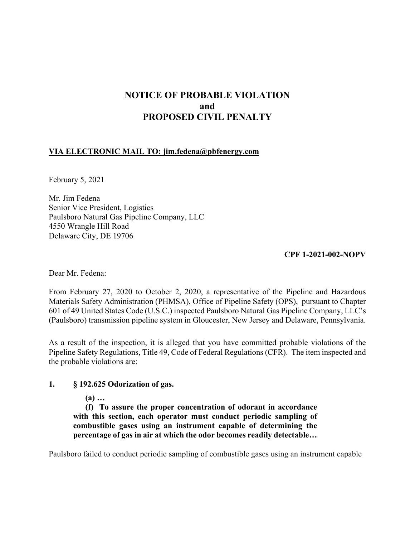# **NOTICE OF PROBABLE VIOLATION and PROPOSED CIVIL PENALTY**

# **VIA ELECTRONIC MAIL TO: [jim.fedena@pbfenergy.com](mailto:jim.fedena@pbfenergy.com)**

February 5, 2021

Mr. Jim Fedena Senior Vice President, Logistics Paulsboro Natural Gas Pipeline Company, LLC 4550 Wrangle Hill Road Delaware City, DE 19706

#### **CPF 1-2021-002-NOPV**

Dear Mr. Fedena:

From February 27, 2020 to October 2, 2020, a representative of the Pipeline and Hazardous Materials Safety Administration (PHMSA), Office of Pipeline Safety (OPS), pursuant to Chapter 601 of 49 United States Code (U.S.C.) inspected Paulsboro Natural Gas Pipeline Company, LLC's (Paulsboro) transmission pipeline system in Gloucester, New Jersey and Delaware, Pennsylvania.

As a result of the inspection, it is alleged that you have committed probable violations of the Pipeline Safety Regulations, Title 49, Code of Federal Regulations (CFR). The item inspected and the probable violations are:

## **1. § 192.625 Odorization of gas.**

**(a) …** 

**(f) To assure the proper concentration of odorant in accordance with this section, each operator must conduct periodic sampling of combustible gases using an instrument capable of determining the percentage of gas in air at which the odor becomes readily detectable…** 

Paulsboro failed to conduct periodic sampling of combustible gases using an instrument capable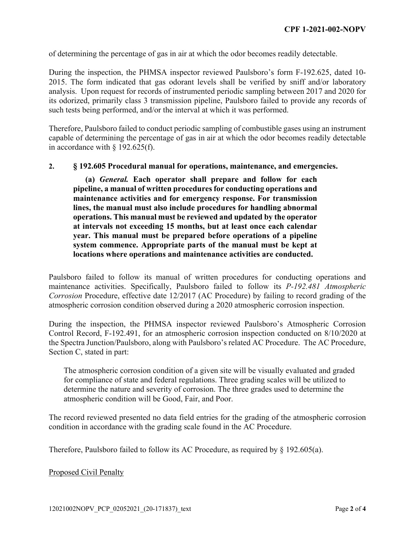of determining the percentage of gas in air at which the odor becomes readily detectable.

During the inspection, the PHMSA inspector reviewed Paulsboro's form F-192.625, dated 10- 2015. The form indicated that gas odorant levels shall be verified by sniff and/or laboratory analysis. Upon request for records of instrumented periodic sampling between 2017 and 2020 for its odorized, primarily class 3 transmission pipeline, Paulsboro failed to provide any records of such tests being performed, and/or the interval at which it was performed.

Therefore, Paulsboro failed to conduct periodic sampling of combustible gases using an instrument capable of determining the percentage of gas in air at which the odor becomes readily detectable in accordance with § 192.625(f).

#### **2. § 192.605 Procedural manual for operations, maintenance, and emergencies.**

**(a)** *General.* **Each operator shall prepare and follow for each pipeline, a manual of written procedures for conducting operations and maintenance activities and for emergency response. For transmission lines, the manual must also include procedures for handling abnormal operations. This manual must be reviewed and updated by the operator at intervals not exceeding 15 months, but at least once each calendar year. This manual must be prepared before operations of a pipeline system commence. Appropriate parts of the manual must be kept at locations where operations and maintenance activities are conducted.** 

Paulsboro failed to follow its manual of written procedures for conducting operations and maintenance activities. Specifically, Paulsboro failed to follow its *P-192.481 Atmospheric Corrosion* Procedure, effective date 12/2017 (AC Procedure) by failing to record grading of the atmospheric corrosion condition observed during a 2020 atmospheric corrosion inspection.

During the inspection, the PHMSA inspector reviewed Paulsboro's Atmospheric Corrosion Control Record, F-192.491, for an atmospheric corrosion inspection conducted on 8/10/2020 at the Spectra Junction/Paulsboro, along with Paulsboro's related AC Procedure. The AC Procedure, Section C, stated in part:

The atmospheric corrosion condition of a given site will be visually evaluated and graded for compliance of state and federal regulations. Three grading scales will be utilized to determine the nature and severity of corrosion. The three grades used to determine the atmospheric condition will be Good, Fair, and Poor.

The record reviewed presented no data field entries for the grading of the atmospheric corrosion condition in accordance with the grading scale found in the AC Procedure.

Therefore, Paulsboro failed to follow its AC Procedure, as required by § 192.605(a).

#### Proposed Civil Penalty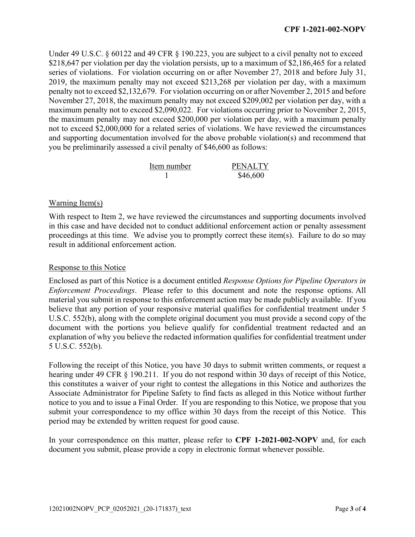Under 49 U.S.C. § 60122 and 49 CFR § 190.223, you are subject to a civil penalty not to exceed \$218,647 per violation per day the violation persists, up to a maximum of \$2,186,465 for a related series of violations. For violation occurring on or after November 27, 2018 and before July 31, 2019, the maximum penalty may not exceed \$213,268 per violation per day, with a maximum penalty not to exceed \$2,132,679. For violation occurring on or after November 2, 2015 and before November 27, 2018, the maximum penalty may not exceed \$209,002 per violation per day, with a maximum penalty not to exceed \$2,090,022. For violations occurring prior to November 2, 2015, the maximum penalty may not exceed \$200,000 per violation per day, with a maximum penalty not to exceed \$2,000,000 for a related series of violations. We have reviewed the circumstances and supporting documentation involved for the above probable violation(s) and recommend that you be preliminarily assessed a civil penalty of \$46,600 as follows:

| Item number | <b>PENALTY</b> |
|-------------|----------------|
|             | \$46,600       |

# Warning Item(s)

With respect to Item 2, we have reviewed the circumstances and supporting documents involved in this case and have decided not to conduct additional enforcement action or penalty assessment proceedings at this time. We advise you to promptly correct these item(s). Failure to do so may result in additional enforcement action.

### Response to this Notice

Enclosed as part of this Notice is a document entitled *Response Options for Pipeline Operators in Enforcement Proceedings*. Please refer to this document and note the response options. All material you submit in response to this enforcement action may be made publicly available. If you believe that any portion of your responsive material qualifies for confidential treatment under 5 U.S.C. 552(b), along with the complete original document you must provide a second copy of the document with the portions you believe qualify for confidential treatment redacted and an explanation of why you believe the redacted information qualifies for confidential treatment under 5 U.S.C. 552(b).

Following the receipt of this Notice, you have 30 days to submit written comments, or request a hearing under 49 CFR § 190.211. If you do not respond within 30 days of receipt of this Notice, this constitutes a waiver of your right to contest the allegations in this Notice and authorizes the Associate Administrator for Pipeline Safety to find facts as alleged in this Notice without further notice to you and to issue a Final Order. If you are responding to this Notice, we propose that you submit your correspondence to my office within 30 days from the receipt of this Notice. This period may be extended by written request for good cause.

In your correspondence on this matter, please refer to **CPF 1-2021-002-NOPV** and, for each document you submit, please provide a copy in electronic format whenever possible.